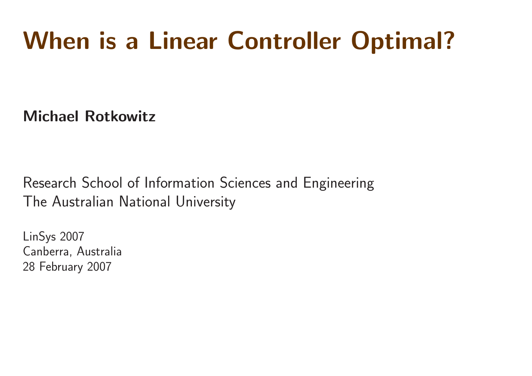## When is <sup>a</sup> Linear Controller Optimal?

Michael Rotkowitz

Research School of Information Sciences and Engineering The Australian National University

LinSys 2007 Canberra, Australia 28 February 2007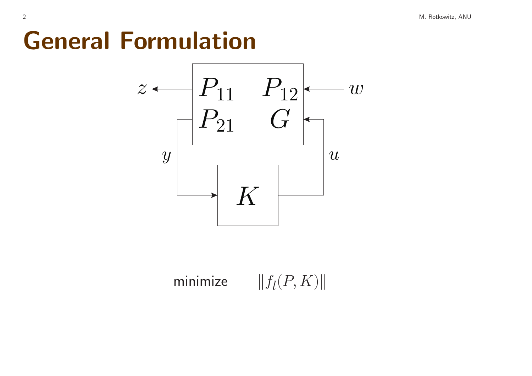#### General Formulation



minimize  $||f_l(P, K)||$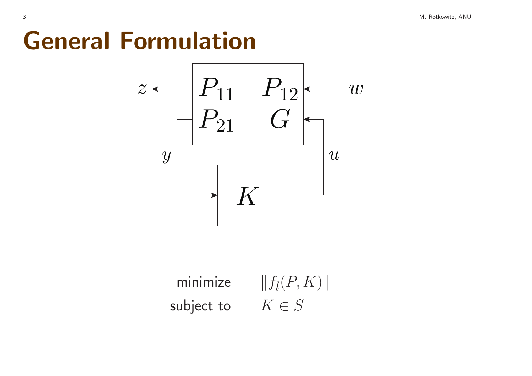#### General Formulation



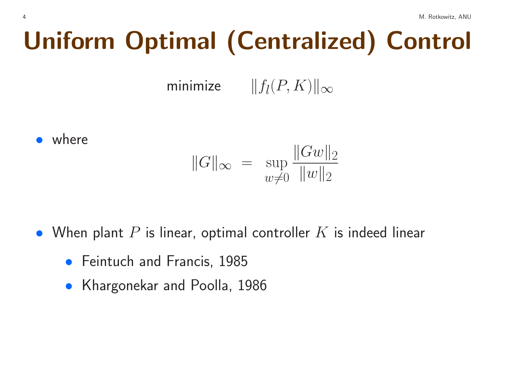# Uniform Optimal (Centralized) Control

minimize  $||f_l(P, K)||_{\infty}$ 

• where

$$
||G||_{\infty} = \sup_{w \neq 0} \frac{||Gw||_2}{||w||_2}
$$

- When plant  $P$  is linear, optimal controller  $K$  is indeed linear
	- **•** Feintuch and Francis, 1985
	- Khargonekar and Poolla, 1986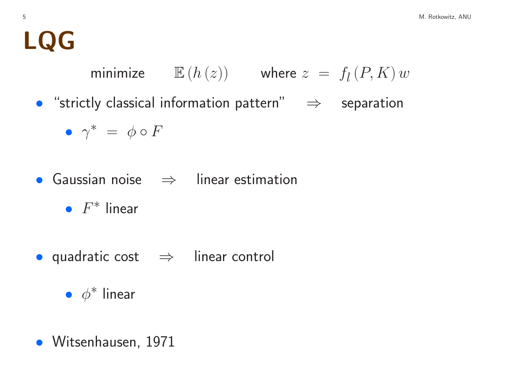### LQG

minimize  $\mathbb{E}(h(z))$  where  $z = f_l(P, K) w$ 

• "strictly classical information pattern" <sup>⇒</sup> separation

$$
\bullet\;\;\gamma^*\;=\;\phi\circ F
$$

- Gaussian noise <sup>⇒</sup> linear estimation
	- $F^*$  linear
- quadratic cost <sup>⇒</sup> linear control

•  $\phi^*$  linear

• Witsenhausen, 1971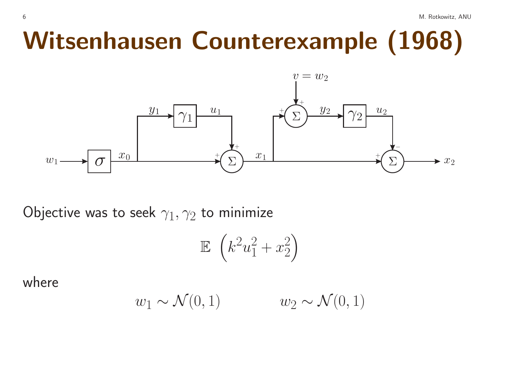## Witsenhausen Counterexample (1968)



Objective was to seek  $\gamma_1, \gamma_2$  to minimize

$$
\mathbb{E}\left(k^2u_1^2+x_2^2\right)
$$

where

$$
w_1 \sim \mathcal{N}(0, 1) \qquad \qquad w_2 \sim \mathcal{N}(0, 1)
$$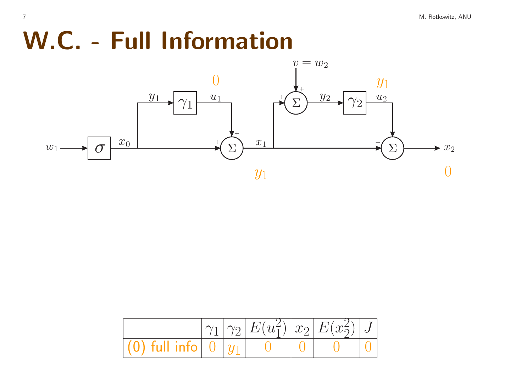## W.C. - Full Information



|                                                 |  | $\gamma_1  \gamma_2  E(u_1^2)  x_2  E(x_2^2)  J $ |  |  |
|-------------------------------------------------|--|---------------------------------------------------|--|--|
| $\vert$ (0) full info $\vert$ 0 $\vert$ $\vert$ |  |                                                   |  |  |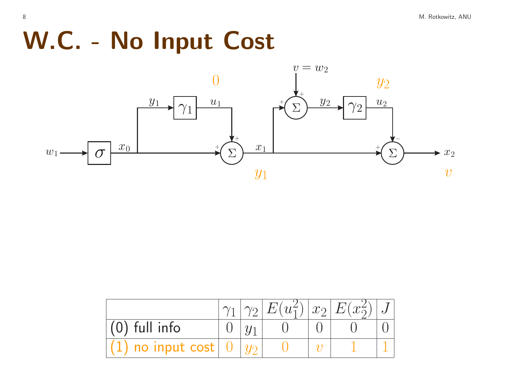#### W.C. - No Input Cost



|                                            |  |  | $ \gamma_2  E(u_1^2)  x_2  E(x_2^2)  J$ |  |
|--------------------------------------------|--|--|-----------------------------------------|--|
| $(0)$ full info                            |  |  |                                         |  |
| $(1)$ no input cost $\mid 0 \mid y_2 \mid$ |  |  |                                         |  |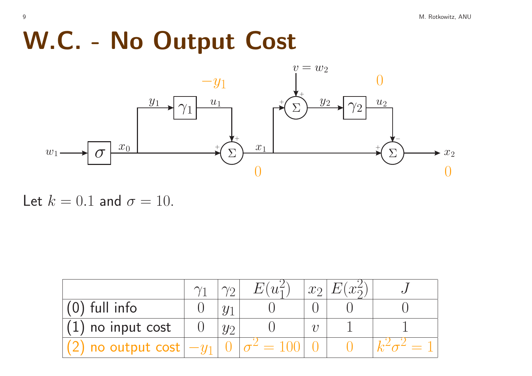## W.C. - No Output Cost



#### Let  $k = 0.1$  and  $\sigma = 10$ .

|                                         | $\sqrt{2}$ | $E(u_1^2)$ | $x_2$ | $E(x_2^2)$ |  |
|-----------------------------------------|------------|------------|-------|------------|--|
| $(0)$ full info                         |            |            |       |            |  |
| $(1)$ no input cost                     |            |            |       |            |  |
| $\mathcal{L}$ ) no output cost $ -y_1 $ |            |            |       |            |  |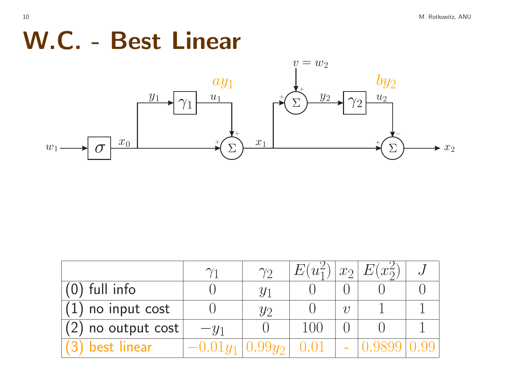#### W.C. - Best Linear



|                             |        | $\gamma$       | $E(u_1^2)$ |        | $\ x_2\ E(x_2^2)\ $ |  |
|-----------------------------|--------|----------------|------------|--------|---------------------|--|
| $(0)$ full info             |        | $\overline{u}$ |            |        |                     |  |
| $(1)$ no input cost         |        | $\mathcal{U}$  |            | $\eta$ |                     |  |
| $(2)$ no output cost $\mid$ | $-y_1$ |                | 1()()      |        |                     |  |
| (3) best linear             |        | $0.99y_2$      |            |        |                     |  |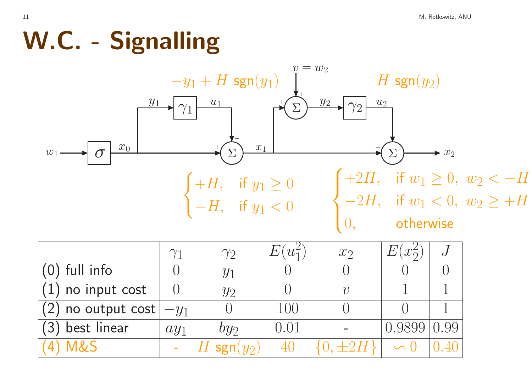## W.C. - Signalling



|                            | $\gamma_1$ | $\gamma_2$    | E <br>$u_1$ | $x_2$  | $x_{\Omega}^2$ |  |
|----------------------------|------------|---------------|-------------|--------|----------------|--|
| $(0)$ full info            |            | $y_1$         |             |        |                |  |
| $\sqrt{1}$ ) no input cost |            | $y_2$         |             | $\eta$ |                |  |
| $(2)$ no output cost       | $-y_1$     |               | 100         |        |                |  |
| $(3)$ best linear          | $ay_1$     | $by_2$        | 0.01        |        |                |  |
| 4) M&S                     |            | ' sgn $(y_2)$ |             |        |                |  |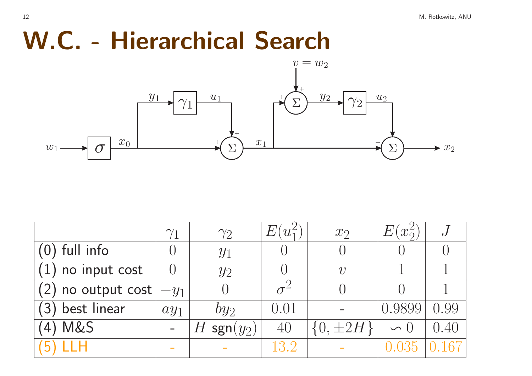#### W.C. - Hierarchical Search



|                      | $\gamma_1$ | $\gamma_2$                     | $u_1^2$ | $x_2$         | $\,E\,$<br>$x_{2}^{\prime}$ | $\cdot$ J |
|----------------------|------------|--------------------------------|---------|---------------|-----------------------------|-----------|
| $(0)$ full info      |            | $y_1$                          |         |               |                             |           |
| $(1)$ no input cost  |            | $y_2$                          |         | $\eta$        |                             |           |
| $(2)$ no output cost | $-y_1$     |                                |         |               |                             |           |
| (3) best linear      | $ay_1$     | $by_2$                         | 0.01    |               |                             |           |
| (4) M&S              |            | $\mathsf{sgn}(y_2)$<br>$H_{-}$ | 40      | $[0, \pm 2H]$ |                             |           |
| (5) LLH              |            |                                | 13.2    |               |                             |           |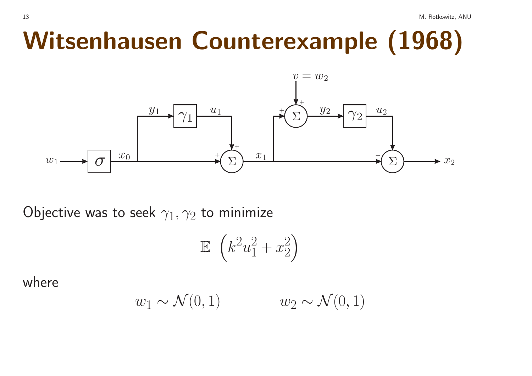## Witsenhausen Counterexample (1968)



Objective was to seek  $\gamma_1, \gamma_2$  to minimize

$$
\mathbb{E}\left(k^2u_1^2+x_2^2\right)
$$

where

$$
w_1 \sim \mathcal{N}(0, 1) \qquad \qquad w_2 \sim \mathcal{N}(0, 1)
$$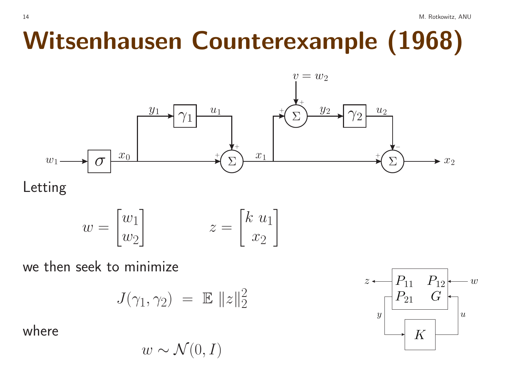## Witsenhausen Counterexample (1968)



Letting

$$
w = \begin{bmatrix} w_1 \\ w_2 \end{bmatrix} \qquad \qquad z = \begin{bmatrix} k & u_1 \\ x_2 \end{bmatrix}
$$

we then seek to minimize

$$
J(\gamma_1, \gamma_2) = \mathbb{E} \|z\|_2^2
$$

where

 $w \sim \mathcal{N}(0, I)$ 

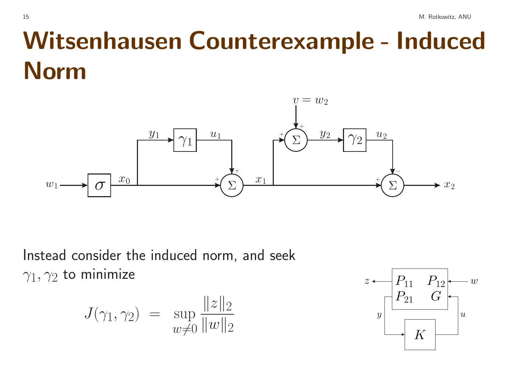## Witsenhausen Counterexample - Induced **Norm**



Instead consider the induced norm, and seek  $\gamma_1, \gamma_2$  to minimize

$$
J(\gamma_1, \gamma_2) = \sup_{w \neq 0} \frac{\|z\|_2}{\|w\|_2}
$$

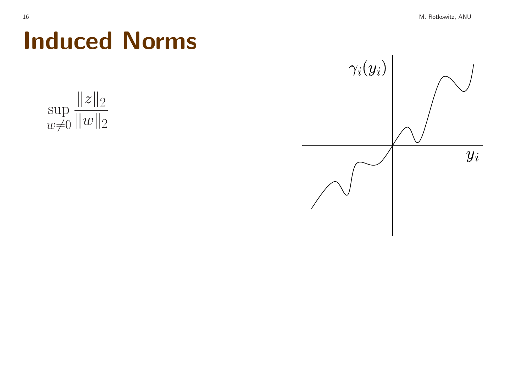

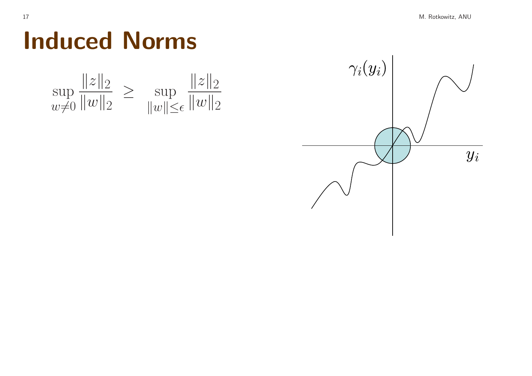

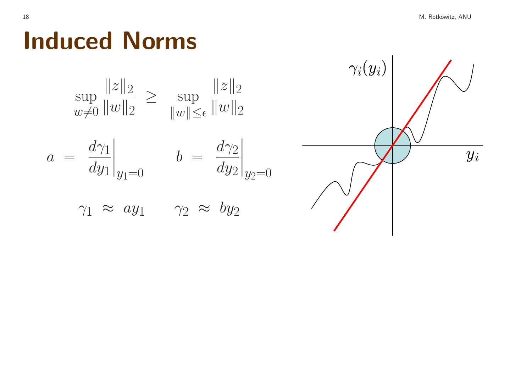$y_i$ 

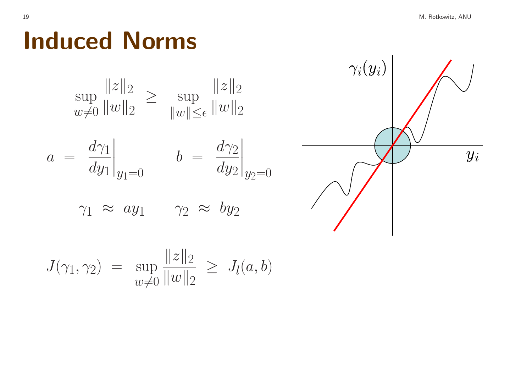

$$
J(\gamma_1, \gamma_2) = \sup_{w \neq 0} \frac{\|z\|_2}{\|w\|_2} \ge J_l(a, b)
$$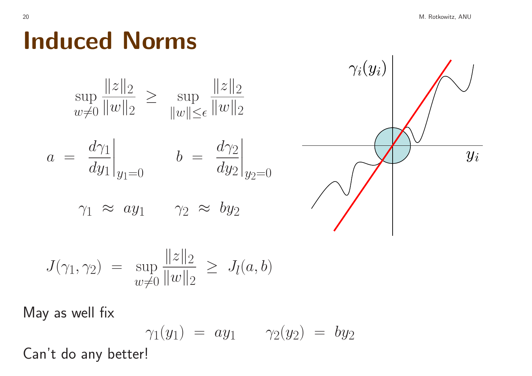

$$
J(\gamma_1, \gamma_2) = \sup_{w \neq 0} \frac{\|z\|_2}{\|w\|_2} \ge J_l(a, b)
$$

May as well fix

$$
\gamma_1(y_1) = ay_1 \qquad \gamma_2(y_2) = by_2
$$

Can't do any better!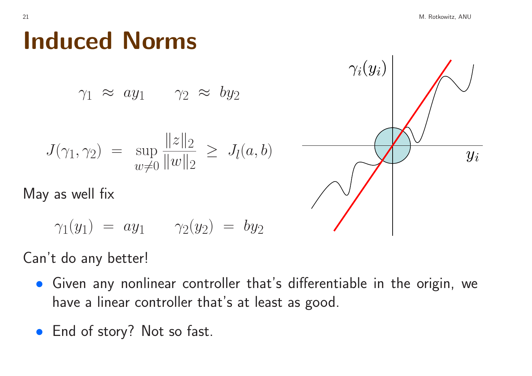$\gamma_1 \approx ay_1 \quad \gamma_2 \approx by_2$ 

$$
J(\gamma_1, \gamma_2) = \sup_{w \neq 0} \frac{\|z\|_2}{\|w\|_2} \ge J_l(a, b)
$$

May as well fix

 $\gamma_1(y_1) = ay_1 \qquad \gamma_2(y_2) = by_2$ 

#### Can't do any better!

- Given any nonlinear controller that's differentiable in the origin, we have <sup>a</sup> linear controller that's at least as good.
- End of story? Not so fast.



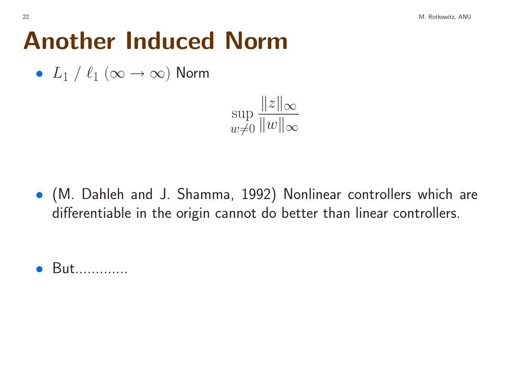## Another Induced Norm

•  $L_1$  /  $\ell_1$   $(\infty \rightarrow \infty)$  Norm



• (M. Dahleh and J. Shamma, 1992) Nonlinear controllers which are differentiable in the origin cannot do better than linear controllers.

• But.............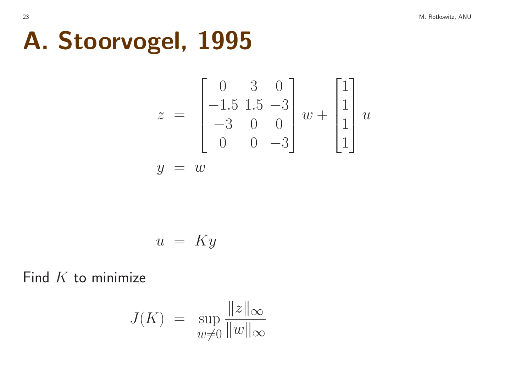## A. Stoorvogel, 1995

$$
z = \begin{bmatrix} 0 & 3 & 0 \\ -1.5 & 1.5 & -3 \\ -3 & 0 & 0 \\ 0 & 0 & -3 \end{bmatrix} w + \begin{bmatrix} 1 \\ 1 \\ 1 \\ 1 \end{bmatrix} u
$$

$$
y = w
$$

$$
u = Ky
$$

Find  $K$  to minimize

$$
J(K) = \sup_{w \neq 0} \frac{\|z\|_{\infty}}{\|w\|_{\infty}}
$$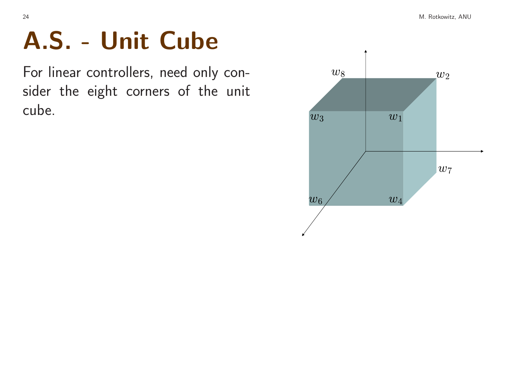# A.S. - Unit Cube

For linear controllers, need only consider the eight corners of the unit cube.

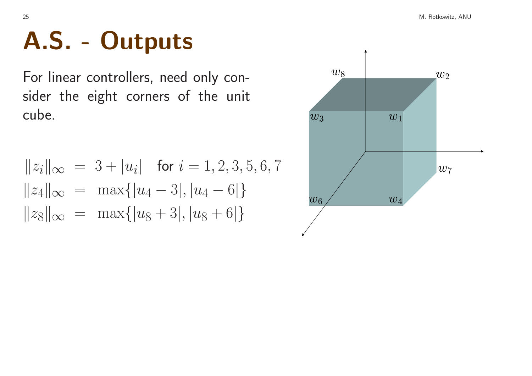# A.S. - Outputs

For linear controllers, need only consider the eight corners of the unit cube.

$$
||z_i||_{\infty} = 3 + |u_i| \text{ for } i = 1, 2, 3, 5, 6, 7
$$
  
\n
$$
||z_4||_{\infty} = \max\{|u_4 - 3|, |u_4 - 6|\}
$$
  
\n
$$
||z_8||_{\infty} = \max\{|u_8 + 3|, |u_8 + 6|\}
$$

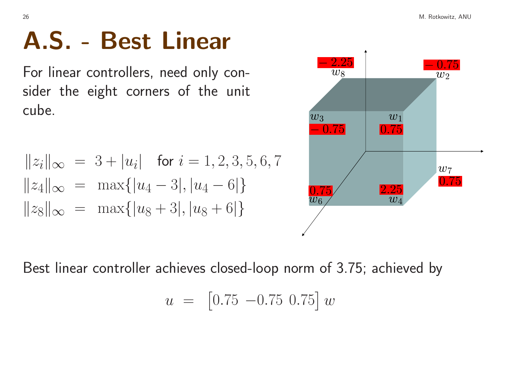## A.S. - Best Linear

For linear controllers, need only consider the eight corners of the unit cube.

$$
||z_i||_{\infty} = 3 + |u_i| \text{ for } i = 1, 2, 3, 5, 6, 7
$$
  
\n
$$
||z_4||_{\infty} = \max\{|u_4 - 3|, |u_4 - 6|\}
$$
  
\n
$$
||z_8||_{\infty} = \max\{|u_8 + 3|, |u_8 + 6|\}
$$



Best linear controller achieves closed-loop norm of 3.75; achieved by

$$
u = [0.75 - 0.75 0.75] w
$$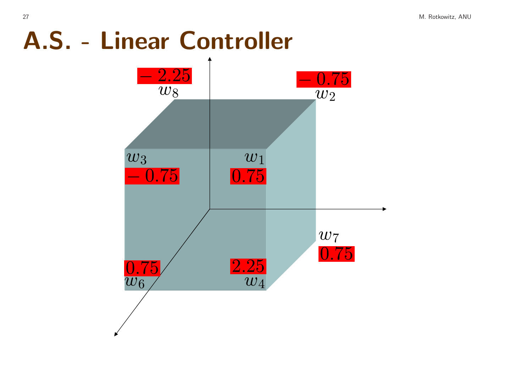## A.S. - Linear Controller

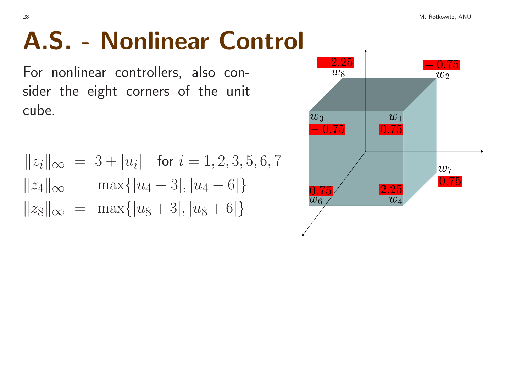For nonlinear controllers, also consider the eight corners of the unit cube.

$$
||z_i||_{\infty} = 3 + |u_i| \text{ for } i = 1, 2, 3, 5, 6, 7
$$
  
\n
$$
||z_4||_{\infty} = \max\{|u_4 - 3|, |u_4 - 6|\}
$$
  
\n
$$
||z_8||_{\infty} = \max\{|u_8 + 3|, |u_8 + 6|\}
$$

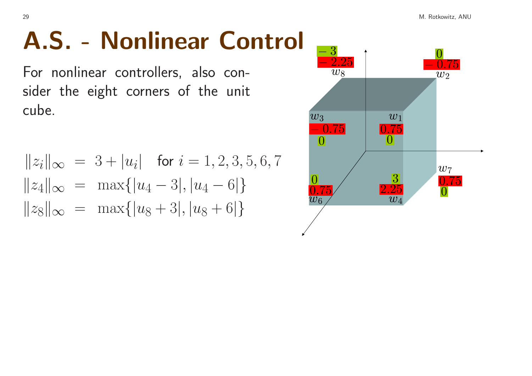For nonlinear controllers, also consider the eight corners of the unit cube.

$$
||z_i||_{\infty} = 3 + |u_i| \text{ for } i = 1, 2, 3, 5, 6, 7
$$
  
\n
$$
||z_4||_{\infty} = \max\{|u_4 - 3|, |u_4 - 6|\}
$$
  
\n
$$
||z_8||_{\infty} = \max\{|u_8 + 3|, |u_8 + 6|\}
$$

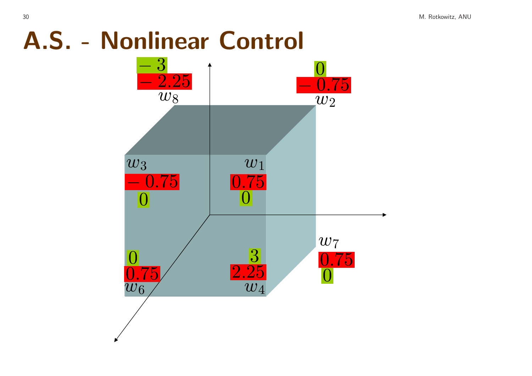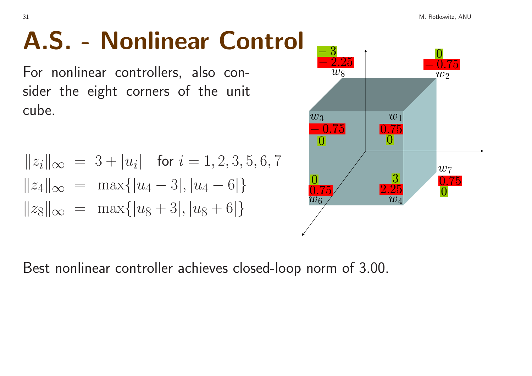For nonlinear controllers, also consider the eight corners of the unit cube.

$$
||z_i||_{\infty} = 3 + |u_i| \text{ for } i = 1, 2, 3, 5, 6, 7
$$
  
\n
$$
||z_4||_{\infty} = \max\{|u_4 - 3|, |u_4 - 6|\}
$$
  
\n
$$
||z_8||_{\infty} = \max\{|u_8 + 3|, |u_8 + 6|\}
$$



Best nonlinear controller achieves closed-loop norm of 3.00.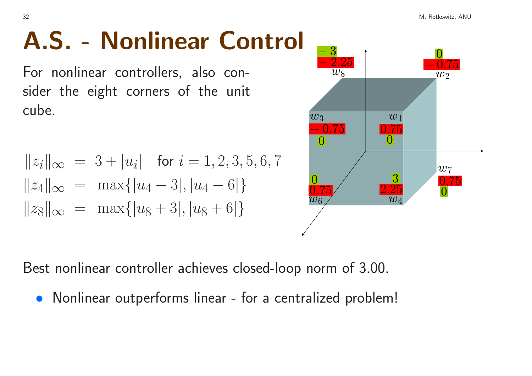For nonlinear controllers, also consider the eight corners of the unit cube.

$$
||z_i||_{\infty} = 3 + |u_i| \text{ for } i = 1, 2, 3, 5, 6, 7
$$
  
\n
$$
||z_4||_{\infty} = \max\{|u_4 - 3|, |u_4 - 6|\}
$$
  
\n
$$
||z_8||_{\infty} = \max\{|u_8 + 3|, |u_8 + 6|\}
$$



Best nonlinear controller achieves closed-loop norm of 3.00.

• Nonlinear outperforms linear - for <sup>a</sup> centralized problem!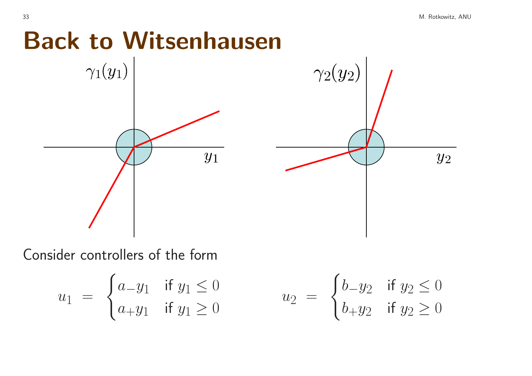### Back to Witsenhausen



Consider controllers of the form

$$
u_1 = \begin{cases} a_{-}y_1 & \text{if } y_1 \le 0 \\ a_{+}y_1 & \text{if } y_1 \ge 0 \end{cases} \qquad u_2 = \begin{cases} b_{-}y_2 & \text{if } y_2 \le 0 \\ b_{+}y_2 & \text{if } y_2 \ge 0 \end{cases}
$$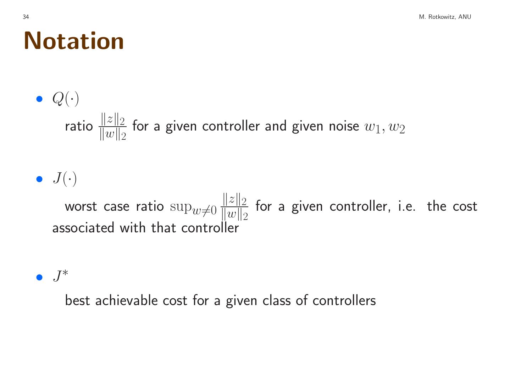#### Notation

 $\bullet$   $Q(\cdot)$ ratio  $\frac{||z||_2}{||w||_2}$  for a given controller and given noise  $w_1, w_2$ 

 $\bullet$   $J(\cdot)$ 

worst case ratio  $\sup_{w\neq0} \frac{\|z\|_2}{\|w\|_2}$  for a given controller, i.e. the cost associated with that controller

 $\bullet$   $J^*$ 

best achievable cost for <sup>a</sup> given class of controllers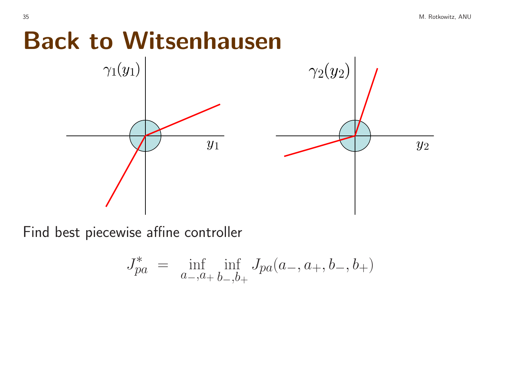#### Back to Witsenhausen



Find best piecewise affine controller

$$
J_{pa}^* = \inf_{a_-,a_+} \inf_{b_-,b_+} J_{pa}(a_-,a_+,b_-,b_+)
$$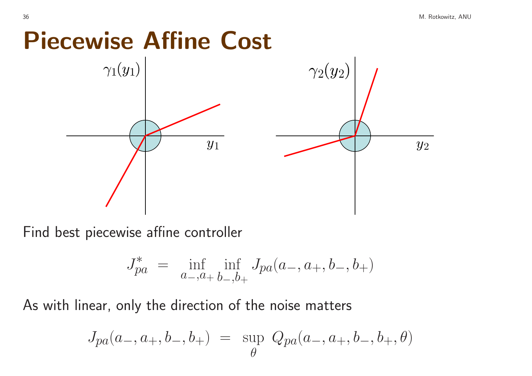#### Piecewise Affine Cost



Find best piecewise affine controller

$$
J_{pa}^* = \inf_{a_-,a_+} \inf_{b_-,b_+} J_{pa}(a_-,a_+,b_-,b_+)
$$

As with linear, only the direction of the noise matters

$$
J_{pa}(a_-, a_+, b_-, b_+) = \sup_{\theta} Q_{pa}(a_-, a_+, b_-, b_+, \theta)
$$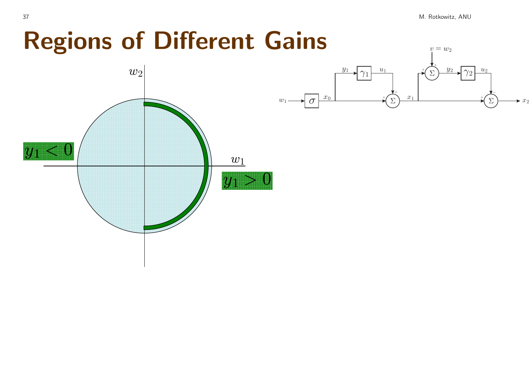M. Rotkowitz, ANU

### **Regions of Different Gains**



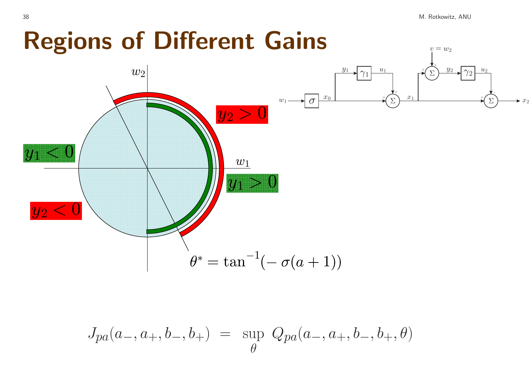M. Rotkowitz, ANU

 $v = w_2$ 

## **Regions of Different Gains**



$$
J_{pa}(a_-,a_+,b_-,b_+) \ = \ \sup_\theta \ Q_{pa}(a_-,a_+,b_-,b_+, \theta)
$$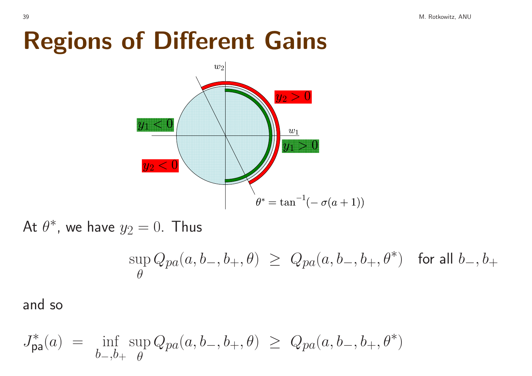## Regions of Different Gains



At  $\theta^*$ , we have  $y_2 = 0$ . Thus

$$
\sup_{\theta} Q_{pa}(a,b_-,b_+,\theta) \geq \, Q_{pa}(a,b_-,b_+,\theta^*) \quad \text{for all } b_-,b_+
$$

and so

$$
J_{\mathsf{pa}}^*(a) = \inf_{b_-,b_+} \sup_{\theta} Q_{pa}(a,b_-,b_+,\theta) \geq Q_{pa}(a,b_-,b_+,\theta^*)
$$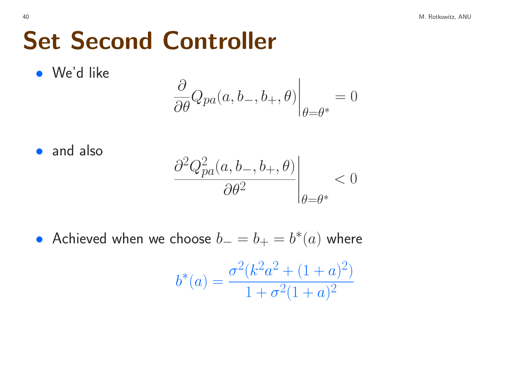## Set Second Controller

• We'd like

$$
\left.\frac{\partial}{\partial\theta}Q_{pa}(a,b_{-},b_{+},\theta)\right|_{\theta=\theta^{*}}=0
$$

• and also

$$
\left. \frac{\partial^2 Q_{pa}^2(a, b_-, b_+, \theta)}{\partial \theta^2} \right|_{\theta = \theta^*} < 0
$$

• Achieved when we choose  $b_-=b_+=b^*(a)$  where

$$
b^*(a) = \frac{\sigma^2 (k^2 a^2 + (1+a)^2)}{1 + \sigma^2 (1+a)^2}
$$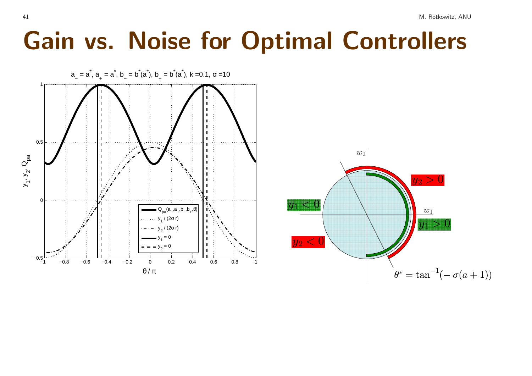#### Gain vs. Noise for Optimal Controllers

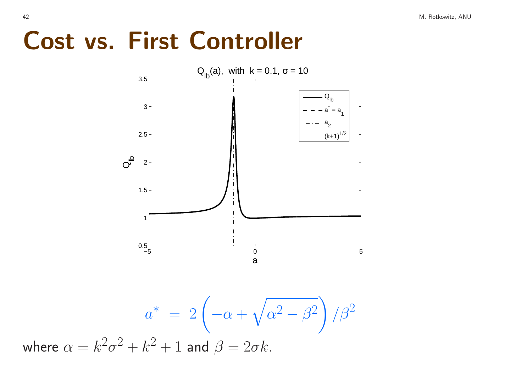#### Cost vs. First Controller



$$
a^* = 2\left(-\alpha + \sqrt{\alpha^2 - \beta^2}\right)/\beta^2
$$
  
where  $\alpha = k^2\sigma^2 + k^2 + 1$  and  $\beta = 2\sigma k$ .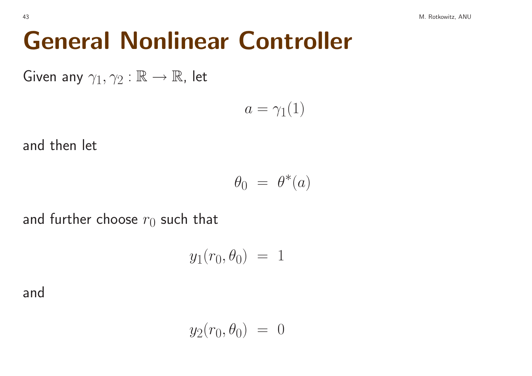Given any  $\gamma_1, \gamma_2 : \mathbb{R} \to \mathbb{R}$ , let

$$
a = \gamma_1(1)
$$

and then let

$$
\theta_0 = \theta^*(a)
$$

and further choose  $r_0$  such that

$$
y_1(r_0, \theta_0) = 1
$$

and

$$
y_2(r_0, \theta_0) = 0
$$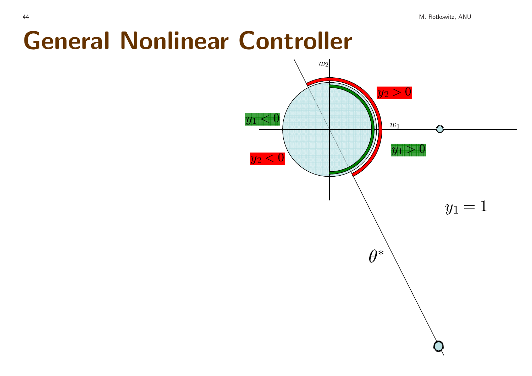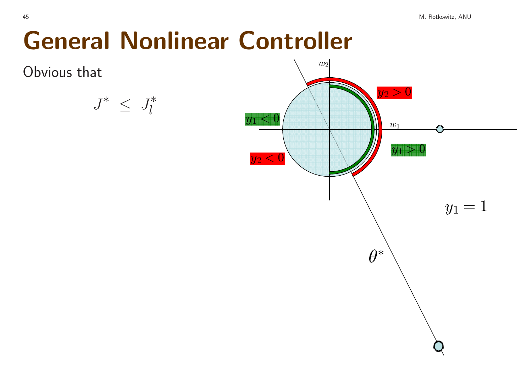

$$
J^* \ \leq \ J^*_l
$$

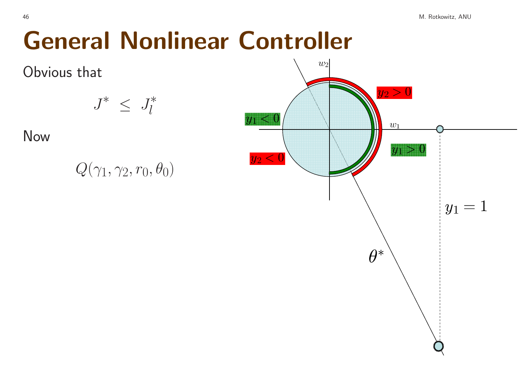Obvious that

$$
J^* \leq J^*_l
$$

Now

| $Q(\gamma_1, \gamma_2, r_0, \theta_0)$ |  |  |  |  |  |
|----------------------------------------|--|--|--|--|--|
|----------------------------------------|--|--|--|--|--|

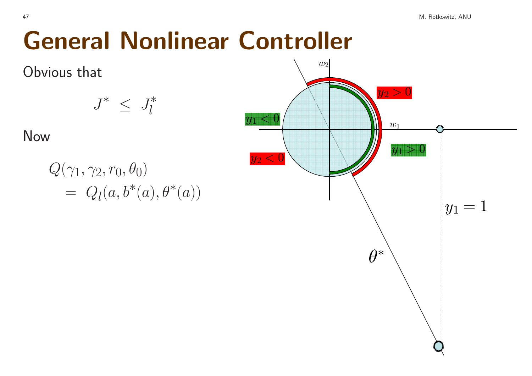Obvious that

$$
J^* \ \leq \ J^*_l
$$

Now

$$
Q(\gamma_1, \gamma_2, r_0, \theta_0)
$$
  
=  $Q_l(a, b^*(a), \theta^*(a))$ 

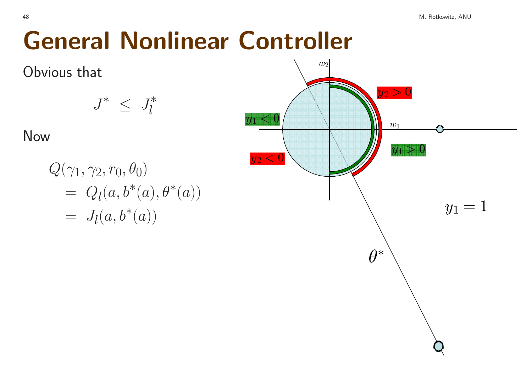Obvious that

$$
J^* \ \leq \ J^*_l
$$

Now

 $Q(\gamma_1, \gamma_2, r_0, \theta_0)$  $= Q_l(a, b^*(a), \theta^*(a))$  $= J_1(a, b^*(a))$ 

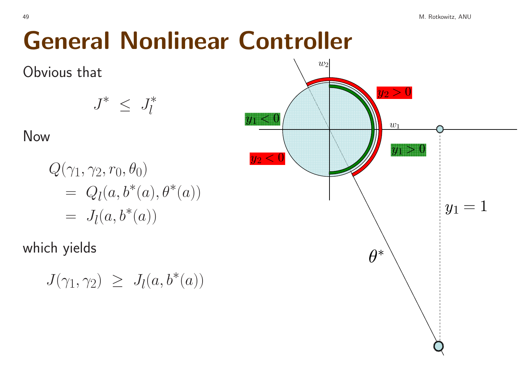Obvious that

$$
J^* \ \leq \ J^*_l
$$

Now

$$
Q(\gamma_1, \gamma_2, r_0, \theta_0)
$$
  
=  $Q_l(a, b^*(a), \theta^*(a))$   
=  $J_l(a, b^*(a))$ 

which yields

$$
J(\gamma_1, \gamma_2) \geq J_l(a, b^*(a))
$$

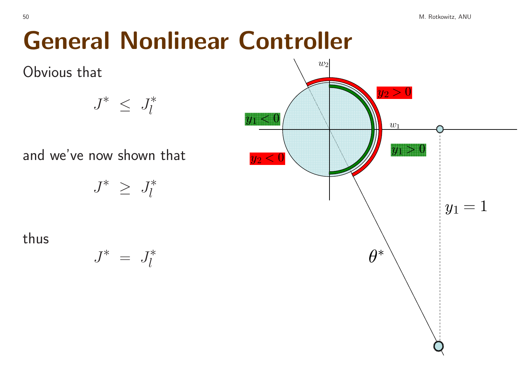Obvious that

$$
J^* \ \leq \ J^*_l
$$

and we've now shown that

$$
J^*~\ge~J_l^*
$$

thus

$$
J^*~=~J_l^*
$$

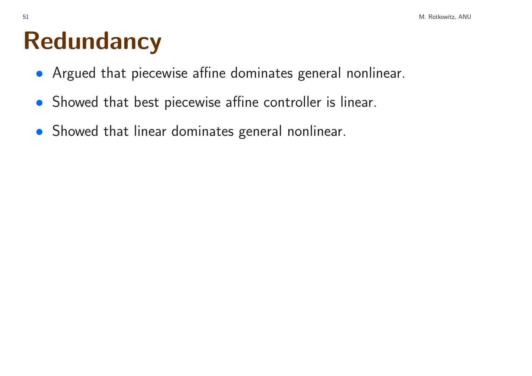#### Redundancy

- Argued that <sup>p</sup>iecewise affine dominates general nonlinear.
- Showed that best <sup>p</sup>iecewise affine controller is linear.
- Showed that linear dominates general nonlinear.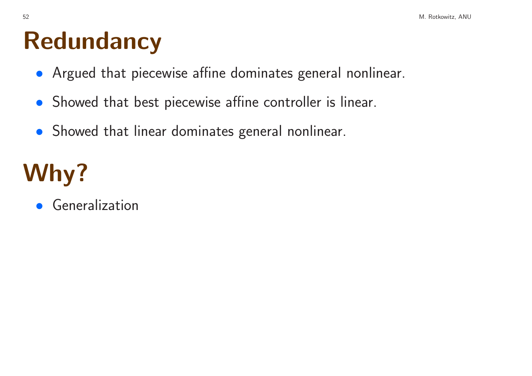#### Redundancy

- Argued that <sup>p</sup>iecewise affine dominates general nonlinear.
- Showed that best <sup>p</sup>iecewise affine controller is linear.
- Showed that linear dominates general nonlinear.

# Why?

• Generalization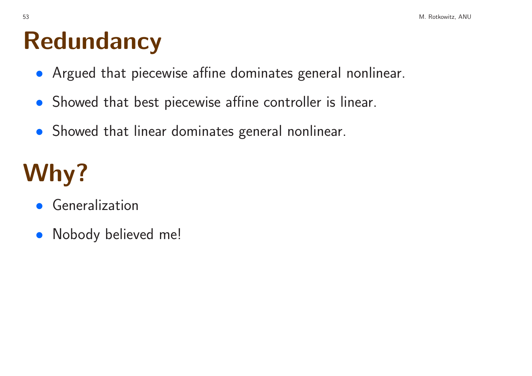#### Redundancy

- Argued that <sup>p</sup>iecewise affine dominates general nonlinear.
- Showed that best <sup>p</sup>iecewise affine controller is linear.
- Showed that linear dominates general nonlinear.

# Why?

- Generalization
- Nobody believed me!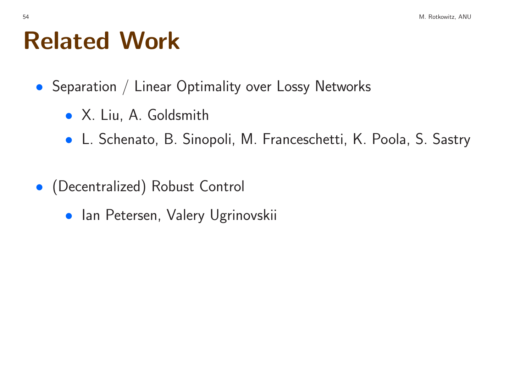#### Related Work

- Separation / Linear Optimality over Lossy Networks
	- X. Liu, A. Goldsmith
	- L. Schenato, B. Sinopoli, M. Franceschetti, K. Poola, S. Sastry
- (Decentralized) Robust Control
	- **Ian Petersen, Valery Ugrinovskii**